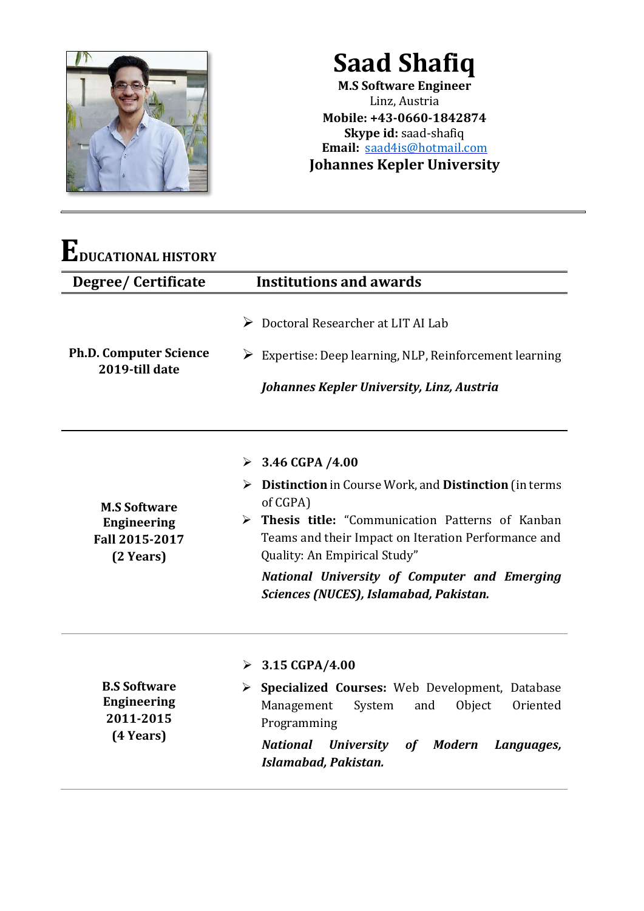

**Saad Shafiq M.S Software Engineer** Linz, Austria **Mobile: +43-0660-1842874 Skype id:** saad-shafiq **Email:** [saad4is@hotmail.com](mailto:saad4is@hotmail.com)

**Johannes Kepler University**

| Degree/ Certificate                                                      | <b>Institutions and awards</b>                                                                                                                                                                                                                                                                                                                              |
|--------------------------------------------------------------------------|-------------------------------------------------------------------------------------------------------------------------------------------------------------------------------------------------------------------------------------------------------------------------------------------------------------------------------------------------------------|
| <b>Ph.D. Computer Science</b><br>2019-till date                          | $\triangleright$ Doctoral Researcher at LIT AI Lab<br>$\triangleright$ Expertise: Deep learning, NLP, Reinforcement learning<br>Johannes Kepler University, Linz, Austria                                                                                                                                                                                   |
| <b>M.S Software</b><br><b>Engineering</b><br>Fall 2015-2017<br>(2 Years) | $\geq 3.46 \text{ GFA } / 4.00$<br>$\triangleright$ Distinction in Course Work, and Distinction (in terms<br>of CGPA)<br>> Thesis title: "Communication Patterns of Kanban<br>Teams and their Impact on Iteration Performance and<br>Quality: An Empirical Study"<br>National University of Computer and Emerging<br>Sciences (NUCES), Islamabad, Pakistan. |
| <b>B.S Software</b><br><b>Engineering</b><br>2011-2015<br>(4 Years)      | $\triangleright$ 3.15 CGPA/4.00<br>Specialized Courses: Web Development, Database<br>➤<br>Management<br>System<br>and<br>Object<br>Oriented<br>Programming<br><b>National</b><br><b>University</b><br><b>Modern</b><br>of<br>Languages,<br>Islamabad, Pakistan.                                                                                             |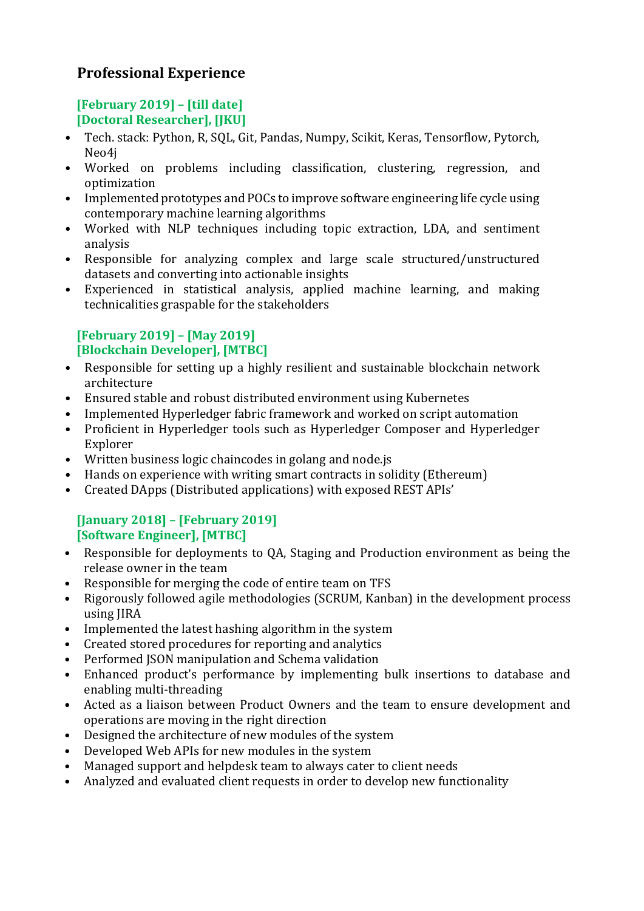# **Professional Experience**

## **[February 2019] – [till date] [Doctoral Researcher], [JKU]**

- Tech. stack: Python, R, SQL, Git, Pandas, Numpy, Scikit, Keras, Tensorflow, Pytorch, Neo4j
- Worked on problems including classification, clustering, regression, and optimization
- Implemented prototypes and POCs to improve software engineering life cycle using contemporary machine learning algorithms
- Worked with NLP techniques including topic extraction, LDA, and sentiment analysis
- Responsible for analyzing complex and large scale structured/unstructured datasets and converting into actionable insights
- Experienced in statistical analysis, applied machine learning, and making technicalities graspable for the stakeholders

#### **[February 2019] – [May 2019] [Blockchain Developer], [MTBC]**

- Responsible for setting up a highly resilient and sustainable blockchain network architecture
- Ensured stable and robust distributed environment using Kubernetes
- Implemented Hyperledger fabric framework and worked on script automation
- Proficient in Hyperledger tools such as Hyperledger Composer and Hyperledger Explorer
- Written business logic chaincodes in golang and node.js
- Hands on experience with writing smart contracts in solidity (Ethereum)
- Created DApps (Distributed applications) with exposed REST APIs'

### **[January 2018] – [February 2019] [Software Engineer], [MTBC]**

- Responsible for deployments to QA, Staging and Production environment as being the release owner in the team
- Responsible for merging the code of entire team on TFS
- Rigorously followed agile methodologies (SCRUM, Kanban) in the development process using JIRA
- Implemented the latest hashing algorithm in the system
- Created stored procedures for reporting and analytics
- Performed JSON manipulation and Schema validation
- Enhanced product's performance by implementing bulk insertions to database and enabling multi-threading
- Acted as a liaison between Product Owners and the team to ensure development and operations are moving in the right direction
- Designed the architecture of new modules of the system
- Developed Web APIs for new modules in the system
- Managed support and helpdesk team to always cater to client needs
- Analyzed and evaluated client requests in order to develop new functionality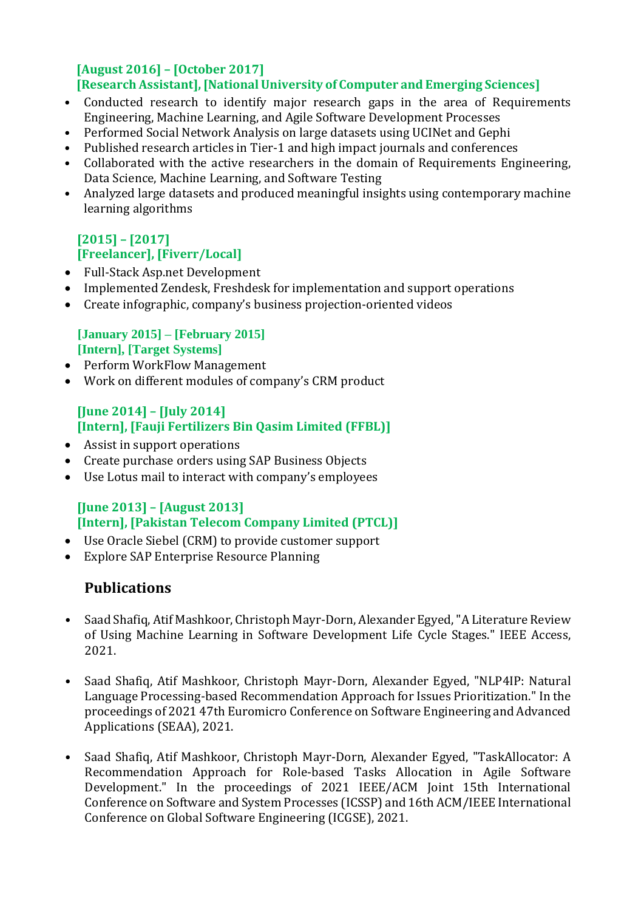#### **[August 2016] – [October 2017] [Research Assistant], [National University of Computer and Emerging Sciences]**

- Conducted research to identify major research gaps in the area of Requirements Engineering, Machine Learning, and Agile Software Development Processes
- Performed Social Network Analysis on large datasets using UCINet and Gephi
- Published research articles in Tier-1 and high impact journals and conferences
- Collaborated with the active researchers in the domain of Requirements Engineering, Data Science, Machine Learning, and Software Testing
- Analyzed large datasets and produced meaningful insights using contemporary machine learning algorithms

## **[2015] – [2017] [Freelancer], [Fiverr/Local]**

- Full-Stack Asp.net Development
- Implemented Zendesk, Freshdesk for implementation and support operations
- Create infographic, company's business projection-oriented videos

### **[January 2015] – [February 2015] [Intern], [Target Systems]**

- Perform WorkFlow Management
- Work on different modules of company's CRM product

#### **[June 2014] – [July 2014] [Intern], [Fauji Fertilizers Bin Qasim Limited (FFBL)]**

- Assist in support operations
- Create purchase orders using SAP Business Objects
- Use Lotus mail to interact with company's employees

## **[June 2013] – [August 2013] [Intern], [Pakistan Telecom Company Limited (PTCL)]**

- Use Oracle Siebel (CRM) to provide customer support
- Explore SAP Enterprise Resource Planning

# **Publications**

- Saad Shafiq, Atif Mashkoor, Christoph Mayr-Dorn, Alexander Egyed, "A Literature Review of Using Machine Learning in Software Development Life Cycle Stages." IEEE Access, 2021.
- Saad Shafiq, Atif Mashkoor, Christoph Mayr-Dorn, Alexander Egyed, "NLP4IP: Natural Language Processing-based Recommendation Approach for Issues Prioritization." In the proceedings of 2021 47th Euromicro Conference on Software Engineering and Advanced Applications (SEAA), 2021.
- Saad Shafiq, Atif Mashkoor, Christoph Mayr-Dorn, Alexander Egyed, "TaskAllocator: A Recommendation Approach for Role-based Tasks Allocation in Agile Software Development." In the proceedings of 2021 IEEE/ACM Joint 15th International Conference on Software and System Processes (ICSSP) and 16th ACM/IEEE International Conference on Global Software Engineering (ICGSE), 2021.